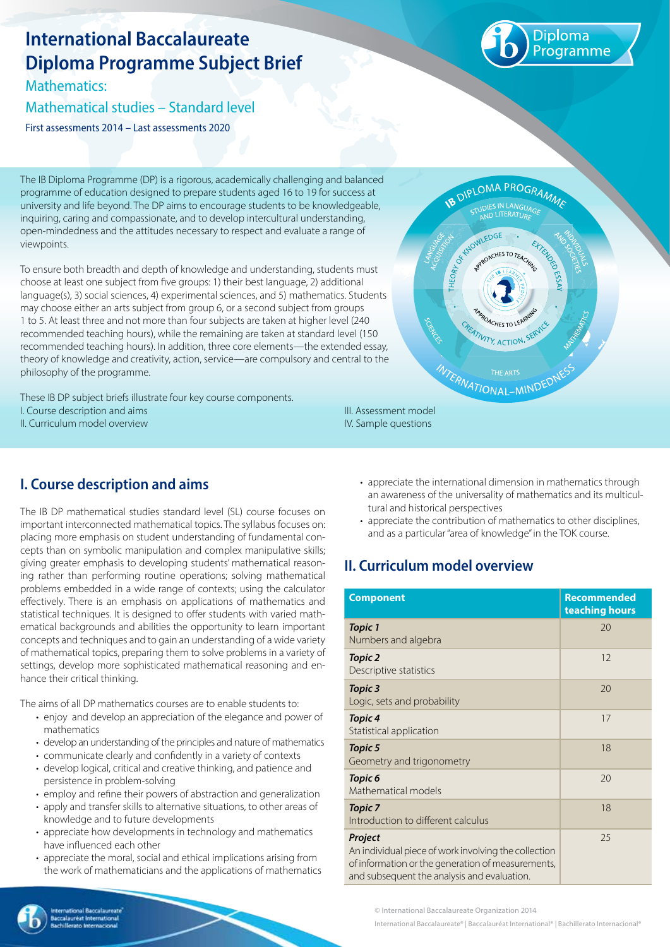# **International Baccalaureate Diploma Programme Subject Brief**

Mathematics:

#### Mathematical studies – Standard level

First assessments 2014 – Last assessments 2020



The IB Diploma Programme (DP) is a rigorous, academically challenging and balanced programme of education designed to prepare students aged 16 to 19 for success at university and life beyond. The DP aims to encourage students to be knowledgeable, inquiring, caring and compassionate, and to develop intercultural understanding, open-mindedness and the attitudes necessary to respect and evaluate a range of viewpoints.

To ensure both breadth and depth of knowledge and understanding, students must choose at least one subject from five groups: 1) their best language, 2) additional language(s), 3) social sciences, 4) experimental sciences, and 5) mathematics. Students may choose either an arts subject from group 6, or a second subject from groups 1 to 5. At least three and not more than four subjects are taken at higher level (240 recommended teaching hours), while the remaining are taken at standard level (150 recommended teaching hours). In addition, three core elements—the extended essay, theory of knowledge and creativity, action, service—are compulsory and central to the philosophy of the programme.

These IB DP subject briefs illustrate four key course components. I. Course description and aims II. Curriculum model overview



## **I. Course description and aims**

The IB DP mathematical studies standard level (SL) course focuses on important interconnected mathematical topics. The syllabus focuses on: placing more emphasis on student understanding of fundamental concepts than on symbolic manipulation and complex manipulative skills; giving greater emphasis to developing students' mathematical reasoning rather than performing routine operations; solving mathematical problems embedded in a wide range of contexts; using the calculator effectively. There is an emphasis on applications of mathematics and statistical techniques. It is designed to offer students with varied mathematical backgrounds and abilities the opportunity to learn important concepts and techniques and to gain an understanding of a wide variety of mathematical topics, preparing them to solve problems in a variety of settings, develop more sophisticated mathematical reasoning and enhance their critical thinking.

The aims of all DP mathematics courses are to enable students to:

- enjoy and develop an appreciation of the elegance and power of mathematics
- develop an understanding of the principles and nature of mathematics
- • communicate clearly and confidently in a variety of contexts
- develop logical, critical and creative thinking, and patience and persistence in problem-solving
- employ and refine their powers of abstraction and generalization
- apply and transfer skills to alternative situations, to other areas of knowledge and to future developments
- appreciate how developments in technology and mathematics have influenced each other
- appreciate the moral, social and ethical implications arising from the work of mathematicians and the applications of mathematics
- appreciate the international dimension in mathematics through an awareness of the universality of mathematics and its multicultural and historical perspectives
- appreciate the contribution of mathematics to other disciplines, and as a particular "area of knowledge" in the TOK course.

### **II. Curriculum model overview**

IV. Sample questions

| <b>Component</b>                                                                                                                                                    | <b>Recommended</b><br>teaching hours |
|---------------------------------------------------------------------------------------------------------------------------------------------------------------------|--------------------------------------|
| <b>Topic 1</b><br>Numbers and algebra                                                                                                                               | 20                                   |
| Topic 2<br>Descriptive statistics                                                                                                                                   | 12                                   |
| Topic 3<br>Logic, sets and probability                                                                                                                              | 20                                   |
| Topic 4<br>Statistical application                                                                                                                                  | 17                                   |
| <b>Topic 5</b><br>Geometry and trigonometry                                                                                                                         | 18                                   |
| Topic 6<br>Mathematical models                                                                                                                                      | 20                                   |
| <b>Topic 7</b><br>Introduction to different calculus                                                                                                                | 18                                   |
| Project<br>An individual piece of work involving the collection<br>of information or the generation of measurements,<br>and subsequent the analysis and evaluation. | 25                                   |

© International Baccalaureate Organization 2014